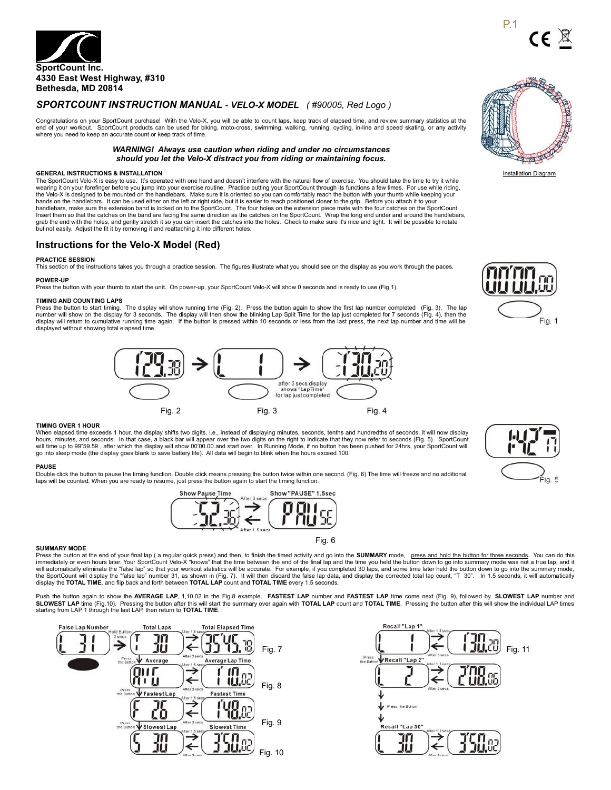

# *SPORTCOUNT INSTRUCTION MANUAL - VELO-X MODEL ( #90005, Red Logo )*

Congratulations on your SportCount purchase! With the Velo-X, you will be able to count laps, keep track of elapsed time, and review summary statistics at the end of your workout. SportCount products can be used for biking, moto-cross, swimming, walking, running, cycling, in-line and speed skating, or any activity where you need to keep an accurate count or keep track of time.

# *WARNING! Always use caution when riding and under no circumstances should you let the Velo-X distract you from riding or maintaining focus.*

**GENERAL INSTRUCTIONS & INSTALLATION**<br>The SportCount Velo-X is easy to use. It's operated with one hand and doesn't interfere with the natural flow of exercise. You should take the time to try it while land to the lime to the Velo-X is designed to be mounted on the handlebars. Make sure it is oriented so you can comfortably reach the button with your thumb while keeping your hands on the handlebars. It can be used either on the left or right side, but it is easier to reach positioned closer to the grip. Before you attach it to your<br>handlebars, make sure the extension band is locked on to the S Insert them so that the catches on the band are facing the same direction as the catches on the SportCount. Wrap the long end under and around the handlebars, grab the end with the holes, and gently stretch it so you can insert the catches into the holes. Check to make sure it's nice and tight. It will be possible to rotate<br>but not easily. Adjust the fit it by removing it and

# **Instructions for the Velo-X Model (Red)**

### **PRACTICE SESSION**

This section of the instructions takes you through a practice session. The figures illustrate what you should see on the display as you work through the paces. **POWER-UP**

Press the button with your thumb to start the unit. On power-up, your SportCount Velo-X will show 0 seconds and is ready to use (Fig.1).

# **TIMING AND COUNTING LAPS**

Press the button to start timing. The display will show running time (Fig. 2). Press the button again to show the first lap number completed (Fig. 3). The lap number will show on the display for 3 seconds. The display will then show the blinking Lap Split Time for the lap just completed for 7 seconds (Fig. 4), then the<br>display will return to cumulative running time again. If t displayed without showing total elapsed time.



# **TIMING OVER 1 HOUR**

When elapsed time exceeds 1 hour, the display shifts two digits, i.e., instead of displaying minutes, seconds, tenths and hundredths of seconds, it will now display hours, minutes, and seconds. In that case, a black bar will appear over the two digits on the right to indicate that they now refer to seconds (Fig. 5). SportCount will time up to 99"59.59 , after which the display will show 00'00.00 and start over. In Running Mode, if no button has been pushed for 24hrs, your SportCount will<br>go into sleep mode (the display goes blank to save batter

### **PAUSE**

Double click the button to pause the timing function. Double click means pressing the button twice within one second. (Fig. 6) The time will freeze and no additional laps will be counted. When you are ready to resume, just press the button again to start the timing function.



### **SUMMARY MODE**

Press the button at the end of your final lap (a regular quick press) and then, to finish the timed activity and go into the SUMMARY mode, press and hold the button for three seconds. You can do this immediately or even hours later. Your SportCount Velo-X "knows" that the time between the end of the final lap and the time you held the button down to go into summary mode was not a true lap, and it will automatically eliminate the "false lap" so that your workout statistics will be accurate. For example, if you completed 30 laps, and some time later held the button down to go into the summary mode,<br>the SportCount wil

Push the button again to show the **AVERAGE LAP**, 1,10.02 in the Fig.8 example. **FASTEST LAP** number and **FASTEST LAP** time come next (Fig. 9), followed by. **SLOWEST LAP** number and **SLOWEST LAP** time (Fig.10). Pressing the button after this will start the summary over again with **TOTAL LAP** count and **TOTAL TIME**. Pressing the button after this will show the individual LAP times<br>starting from LAP 1 t